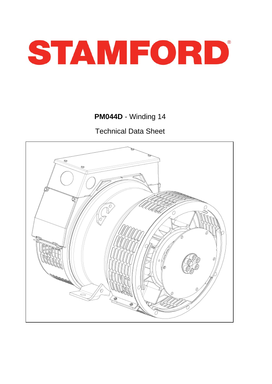

**PM044D** - Winding 14

Technical Data Sheet

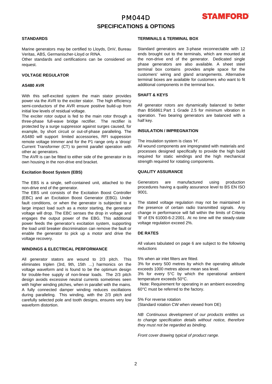## PM044D **SPECIFICATIONS & OPTIONS**



#### **STANDARDS**

Marine generators may be certified to Lloyds, DnV, Bureau Veritas, ABS, Germanischer-Lloyd or RINA.

Other standards and certifications can be considered on request.

## **VOLTAGE REGULATOR**

#### **AS480 AVR**

With this self-excited system the main stator provides power via the AVR to the exciter stator. The high efficiency semi-conductors of the AVR ensure positive build-up from initial low levels of residual voltage.

The exciter rotor output is fed to the main rotor through a three-phase full-wave bridge rectifier. The rectifier is protected by a surge suppressor against surges caused, for example, by short circuit or out-of-phase paralleling. The AS480 will support limited accessories, RFI suppession remote voltage trimmer and for the P1 range only a 'droop' Current Transformer (CT) to permit parallel operation with other ac generators.

The AVR is can be fitted to either side of the generator in its own housing in the non-drive end bracket.

## **Excitation Boost System (EBS)**

The EBS is a single, self-contained unit, attached to the non-drive end of the generator.

The EBS unit consists of the Excitation Boost Controller (EBC) and an Excitation Boost Generator (EBG). Under fault conditions, or when the generator is subjected to a large impact load such as a motor starting, the generator voltage will drop. The EBC senses the drop in voltage and engages the output power of the EBG. This additional power feeds the generator's excitation system, supporting the load until breaker discrimination can remove the fault or enable the generator to pick up a motor and drive the voltage recovery.

## **WINDINGS & ELECTRICAL PERFORMANCE**

All generator stators are wound to 2/3 pitch. This eliminates triplen (3rd, 9th, 15th …) harmonics on the voltage waveform and is found to be the optimum design for trouble-free supply of non-linear loads. The 2/3 pitch design avoids excessive neutral currents sometimes seen with higher winding pitches, when in parallel with the mains. A fully connected damper winding reduces oscillations during paralleling. This winding, with the 2/3 pitch and carefully selected pole and tooth designs, ensures very low waveform distortion.

## **TERMINALS & TERMINAL BOX**

Standard generators are 3-phase reconnectable with 12 ends brought out to the terminals, which are mounted at the non-drive end of the generator. Dedicated single phase generators are also available. A sheet steel terminal box contains provides ample space for the customers' wiring and gland arrangements. Alternative terminal boxes are available for customers who want to fit additional components in the terminal box.

## **SHAFT & KEYS**

All generator rotors are dynamically balanced to better than BS6861:Part 1 Grade 2.5 for minimum vibration in operation. Two bearing generators are balanced with a half key.

#### **INSULATION / IMPREGNATION**

The insulation system is class 'H'.

All wound components are impregnated with materials and processes designed specifically to provide the high build required for static windings and the high mechanical strength required for rotating components.

## **QUALITY ASSURANCE**

Generators are manufactured using production procedures having a quality assurance level to BS EN ISO 9001.

The stated voltage regulation may not be maintained in the presence of certain radio transmitted signals. Any change in performance will fall within the limits of Criteria 'B' of EN 61000-6-2:2001. At no time will the steady-state voltage regulation exceed 2%.

## **DE RATES**

All values tabulated on page 6 are subject to the following reductions

5% when air inlet filters are fitted.

3% for every 500 metres by which the operating altitude exceeds 1000 metres above mean sea level.

3% for every 5°C by which the operational ambient temperature exceeds 50°C.

 Note: Requirement for operating in an ambient exceeding 60°C must be referred to the factory.

5% For reverse rotation

(Standard rotation CW when viewed from DE)

*NB Continuous development of our products entitles us to change specification details without notice, therefore they must not be regarded as binding.* 

*Front cover drawing typical of product range.*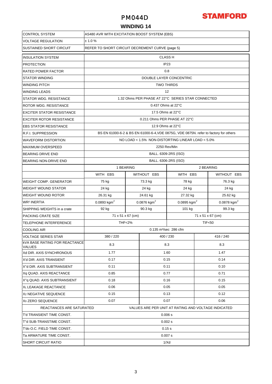## PM044D



## **WINDING 14**

| <b>CONTROL SYSTEM</b>                                 | AS480 AVR WITH EXCITATION BOOST SYSTEM (EBS)      |                    |                              |                                                                                      |                           |  |  |  |  |
|-------------------------------------------------------|---------------------------------------------------|--------------------|------------------------------|--------------------------------------------------------------------------------------|---------------------------|--|--|--|--|
| <b>VOLTAGE REGULATION</b>                             | ± 1.0%                                            |                    |                              |                                                                                      |                           |  |  |  |  |
| <b>SUSTAINED SHORT CIRCUIT</b>                        | REFER TO SHORT CIRCUIT DECREMENT CURVE (page 5)   |                    |                              |                                                                                      |                           |  |  |  |  |
| <b>INSULATION SYSTEM</b>                              | <b>CLASS H</b>                                    |                    |                              |                                                                                      |                           |  |  |  |  |
| <b>PROTECTION</b>                                     | IP <sub>23</sub>                                  |                    |                              |                                                                                      |                           |  |  |  |  |
| <b>RATED POWER FACTOR</b>                             | 0.8                                               |                    |                              |                                                                                      |                           |  |  |  |  |
| <b>STATOR WINDING</b>                                 | DOUBLE LAYER CONCENTRIC                           |                    |                              |                                                                                      |                           |  |  |  |  |
| <b>WINDING PITCH</b>                                  | <b>TWO THIRDS</b>                                 |                    |                              |                                                                                      |                           |  |  |  |  |
| <b>WINDING LEADS</b>                                  | 12                                                |                    |                              |                                                                                      |                           |  |  |  |  |
| <b>STATOR WDG. RESISTANCE</b>                         | 1.32 Ohms PER PHASE AT 22°C SERIES STAR CONNECTED |                    |                              |                                                                                      |                           |  |  |  |  |
| <b>ROTOR WDG, RESISTANCE</b>                          |                                                   | 0.437 Ohms at 22°C |                              |                                                                                      |                           |  |  |  |  |
| <b>EXCITER STATOR RESISTANCE</b>                      | 17.5 Ohms at 22°C                                 |                    |                              |                                                                                      |                           |  |  |  |  |
| <b>EXCITER ROTOR RESISTANCE</b>                       |                                                   |                    | 0.211 Ohms PER PHASE AT 22°C |                                                                                      |                           |  |  |  |  |
| <b>EBS STATOR RESISTANCE</b>                          |                                                   |                    | 12.9 Ohms at 22°C            |                                                                                      |                           |  |  |  |  |
| <b>R.F.I. SUPPRESSION</b>                             |                                                   |                    |                              | BS EN 61000-6-2 & BS EN 61000-6-4, VDE 0875G, VDE 0875N. refer to factory for others |                           |  |  |  |  |
| <b>WAVEFORM DISTORTION</b>                            |                                                   |                    |                              | NO LOAD < 1.5% NON-DISTORTING LINEAR LOAD < 5.0%                                     |                           |  |  |  |  |
| <b>MAXIMUM OVERSPEED</b>                              |                                                   |                    | 2250 Rev/Min                 |                                                                                      |                           |  |  |  |  |
| <b>BEARING DRIVE END</b>                              |                                                   |                    | BALL. 6309-2RS (ISO)         |                                                                                      |                           |  |  |  |  |
| <b>BEARING NON-DRIVE END</b>                          |                                                   |                    | BALL. 6306-2RS (ISO)         |                                                                                      |                           |  |  |  |  |
|                                                       | 1 BEARING                                         |                    |                              | 2 BEARING                                                                            |                           |  |  |  |  |
|                                                       | WITH EBS                                          |                    | WITHOUT EBS                  | WITH EBS                                                                             | WITHOUT EBS               |  |  |  |  |
| WEIGHT COMP. GENERATOR                                | 75 kg                                             |                    | 73.3 kg                      | 78 kg                                                                                | 76.3 kg                   |  |  |  |  |
| <b>WEIGHT WOUND STATOR</b>                            | 24 kg                                             |                    | 24 kg                        | 24 kg                                                                                | 24 kg                     |  |  |  |  |
| <b>WEIGHT WOUND ROTOR</b>                             | 26.31 kg                                          |                    | 24.61 kg                     | 27.32 kg                                                                             | 25.62 kg                  |  |  |  |  |
| <b>WR<sup>2</sup> INERTIA</b>                         | $0.0893$ kgm <sup>2</sup>                         |                    | $0.0876$ kgm <sup>2</sup>    | 0.0895 kgm <sup>2</sup>                                                              | $0.0878$ kgm <sup>2</sup> |  |  |  |  |
| SHIPPING WEIGHTS in a crate                           | 92 kg                                             |                    | 90.3 kg                      | 101 kg                                                                               | 99.3 kg                   |  |  |  |  |
| PACKING CRATE SIZE                                    | 71 x 51 x 67 (cm)<br>71 x 51 x 67 (cm)            |                    |                              |                                                                                      |                           |  |  |  |  |
| <b>TELEPHONE INTERFERENCE</b>                         | <b>THF&lt;2%</b>                                  |                    |                              | <b>TIF&lt;50</b>                                                                     |                           |  |  |  |  |
| <b>COOLING AIR</b>                                    | 0.135 m <sup>3</sup> /sec 286 cfm                 |                    |                              |                                                                                      |                           |  |  |  |  |
| <b>VOLTAGE SERIES STAR</b>                            | 380 / 220                                         |                    | 400 / 230                    |                                                                                      | 416 / 240                 |  |  |  |  |
| <b>KVA BASE RATING FOR REACTANCE</b><br><b>VALUES</b> | 8.3                                               |                    | 8.3                          |                                                                                      | 8.3                       |  |  |  |  |
| Xd DIR. AXIS SYNCHRONOUS                              | 1.77                                              |                    | 1.60                         |                                                                                      | 1.47                      |  |  |  |  |
| X'd DIR. AXIS TRANSIENT                               | 0.17                                              |                    | 0.15                         |                                                                                      | 0.14                      |  |  |  |  |
| X"d DIR. AXIS SUBTRANSIENT                            | 0.11                                              |                    | 0.11                         |                                                                                      | 0.10                      |  |  |  |  |
| Xq QUAD. AXIS REACTANCE                               | 0.85                                              |                    | 0.77                         |                                                                                      | 0.71                      |  |  |  |  |
| X"q QUAD. AXIS SUBTRANSIENT                           | 0.18                                              |                    | 0.16                         |                                                                                      | 0.15                      |  |  |  |  |
| XL LEAKAGE REACTANCE                                  | 0.06                                              |                    | 0.05                         |                                                                                      | 0.05                      |  |  |  |  |
| X <sub>2</sub> NEGATIVE SEQUENCE                      | 0.15                                              |                    | 0.13                         |                                                                                      | 0.12                      |  |  |  |  |
| X <sub>0</sub> ZERO SEQUENCE                          | 0.07<br>0.07                                      |                    |                              |                                                                                      | 0.06                      |  |  |  |  |
| REACTANCES ARE SATURATED                              |                                                   |                    |                              | VALUES ARE PER UNIT AT RATING AND VOLTAGE INDICATED                                  |                           |  |  |  |  |
| T'd TRANSIENT TIME CONST.                             |                                                   |                    | 0.006 s                      |                                                                                      |                           |  |  |  |  |
| T"d SUB-TRANSTIME CONST.                              |                                                   |                    | 0.002 s                      |                                                                                      |                           |  |  |  |  |
| T'do O.C. FIELD TIME CONST.                           | 0.15s                                             |                    |                              |                                                                                      |                           |  |  |  |  |
| Ta ARMATURE TIME CONST.                               | 0.007 s                                           |                    |                              |                                                                                      |                           |  |  |  |  |
| <b>SHORT CIRCUIT RATIO</b>                            | 1/Xd                                              |                    |                              |                                                                                      |                           |  |  |  |  |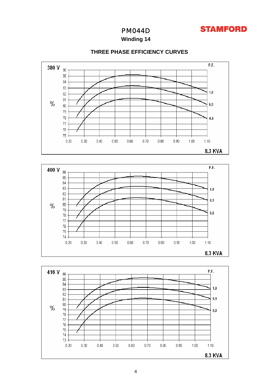

8.3 KVA



**Winding 14**



## **THREE PHASE EFFICIENCY CURVES**

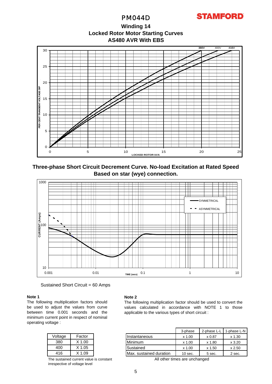PM044D

**AS480 AVR With EBS Winding 14 Locked Rotor Motor Starting Curves**



**Three-phase Short Circuit Decrement Curve. No-load Excitation at Rated Speed Based on star (wye) connection.**



Sustained Short Circuit = 60 Amps

## **Note 1**

The following multiplication factors should be used to adjust the values from curve between time 0.001 seconds and the minimum current point in respect of nominal operating voltage :

| Voltage | Factor   |
|---------|----------|
| 380     | $X$ 1.00 |
| 400     | $X$ 1.05 |
| 416     | $X$ 1.09 |

The sustained current value is constant irrespective of voltage level

## **Note 2**

The following multiplication factor should be used to convert the values calculated in accordance with NOTE 1 to those applicable to the various types of short circuit :

|         |          |                         | 3-phase   | 2-phase L-L | 1-phase L-N |
|---------|----------|-------------------------|-----------|-------------|-------------|
| Voltage | Factor   | Instantaneous           | $x$ 1.00  | x 0.87      | $x$ 1.30    |
| 380     | $X$ 1.00 | Minimum                 | $x$ 1.00  | x 1.80      | $x$ 3.20    |
| 400     | $X$ 1.05 | Sustained               | $x$ 1.00  | x 1.50      | x 2.50      |
| 416     | X 1.09   | Max. sustained duration | $10$ sec. | 5 sec.      | 2 sec.      |

All other times are unchanged